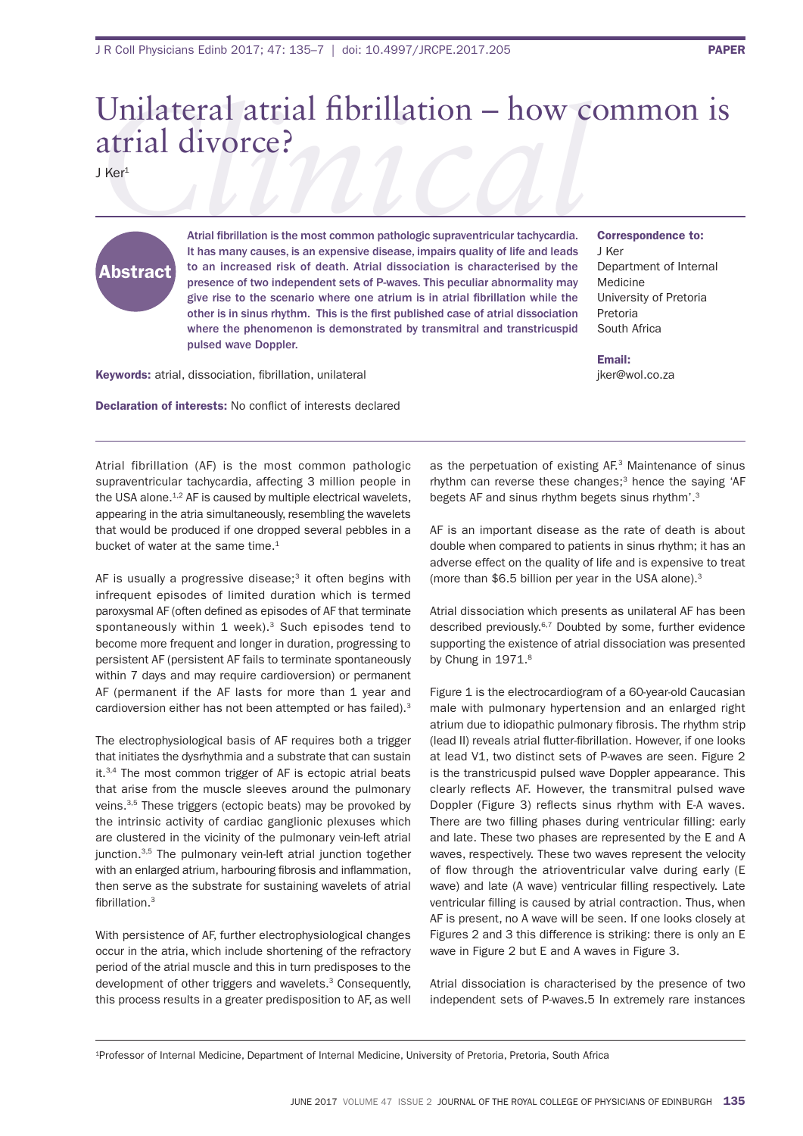## *Clinical* Unilateral atrial brillation – how common is atrial divorce?

J Ker<sup>1</sup>

## Abstract

Atrial fibrillation is the most common pathologic supraventricular tachycardia. It has many causes, is an expensive disease, impairs quality of life and leads to an increased risk of death. Atrial dissociation is characterised by the presence of two independent sets of P-waves. This peculiar abnormality may give rise to the scenario where one atrium is in atrial fibrillation while the other is in sinus rhythm. This is the first published case of atrial dissociation where the phenomenon is demonstrated by transmitral and transtricuspid pulsed wave Doppler.

Keywords: atrial, dissociation, fibrillation, unilateral

Declaration of interests: No conflict of interests declared

Correspondence to:

J Ker Department of Internal **Medicine** University of Pretoria Pretoria south africa

Email: jker@wol.co.za

Atrial fibrillation (AF) is the most common pathologic supraventricular tachycardia, affecting 3 million people in the USA alone.<sup>1,2</sup> AF is caused by multiple electrical wavelets, appearing in the atria simultaneously, resembling the wavelets that would be produced if one dropped several pebbles in a bucket of water at the same time.<sup>1</sup>

AF is usually a progressive disease;<sup>3</sup> it often begins with infrequent episodes of limited duration which is termed paroxysmal AF (often defined as episodes of AF that terminate spontaneously within 1 week). $3$  Such episodes tend to become more frequent and longer in duration, progressing to persistent af (persistent af fails to terminate spontaneously within 7 days and may require cardioversion) or permanent AF (permanent if the AF lasts for more than 1 year and cardioversion either has not been attempted or has failed).<sup>3</sup>

The electrophysiological basis of AF requires both a trigger that initiates the dysrhythmia and a substrate that can sustain it.<sup>3,4</sup> The most common trigger of AF is ectopic atrial beats that arise from the muscle sleeves around the pulmonary veins.<sup>3,5</sup> These triggers (ectopic beats) may be provoked by the intrinsic activity of cardiac ganglionic plexuses which are clustered in the vicinity of the pulmonary vein-left atrial junction.<sup>3,5</sup> The pulmonary vein-left atrial junction together with an enlarged atrium, harbouring fibrosis and inflammation. then serve as the substrate for sustaining wavelets of atrial fibrillation.<sup>3</sup>

With persistence of af, further electrophysiological changes occur in the atria, which include shortening of the refractory period of the atrial muscle and this in turn predisposes to the development of other triggers and wavelets.<sup>3</sup> Consequently, this process results in a greater predisposition to AF, as well as the perpetuation of existing AF.<sup>3</sup> Maintenance of sinus rhythm can reverse these changes; $3$  hence the saying 'AF begets AF and sinus rhythm begets sinus rhythm'.<sup>3</sup>

AF is an important disease as the rate of death is about double when compared to patients in sinus rhythm; it has an adverse effect on the quality of life and is expensive to treat (more than  $$6.5$  billion per year in the USA alone).<sup>3</sup>

Atrial dissociation which presents as unilateral AF has been described previously.<sup>6,7</sup> Doubted by some, further evidence supporting the existence of atrial dissociation was presented by Chung in 1971.<sup>8</sup>

figure 1 is the electrocardiogram of a 60-year-old Caucasian male with pulmonary hypertension and an enlarged right atrium due to idiopathic pulmonary fibrosis. The rhythm strip (lead II) reveals atrial flutter-fibrillation. However, if one looks at lead V1, two distinct sets of P-waves are seen. Figure 2 is the transtricuspid pulsed wave Doppler appearance. This clearly reflects AF. However, the transmitral pulsed wave Doppler (Figure 3) reflects sinus rhythm with E-A waves. There are two filling phases during ventricular filling: early and late. These two phases are represented by the E and A waves, respectively. These two waves represent the velocity of flow through the atrioventricular valve during early (E wave) and late (A wave) ventricular filling respectively. Late ventricular filling is caused by atrial contraction. Thus, when AF is present, no A wave will be seen. If one looks closely at Figures 2 and 3 this difference is striking: there is only an E wave in Figure 2 but E and A waves in Figure 3.

Atrial dissociation is characterised by the presence of two independent sets of P-waves.5 in extremely rare instances

<sup>&</sup>lt;sup>1</sup>Professor of Internal Medicine, Department of Internal Medicine, University of Pretoria, Pretoria, South Africa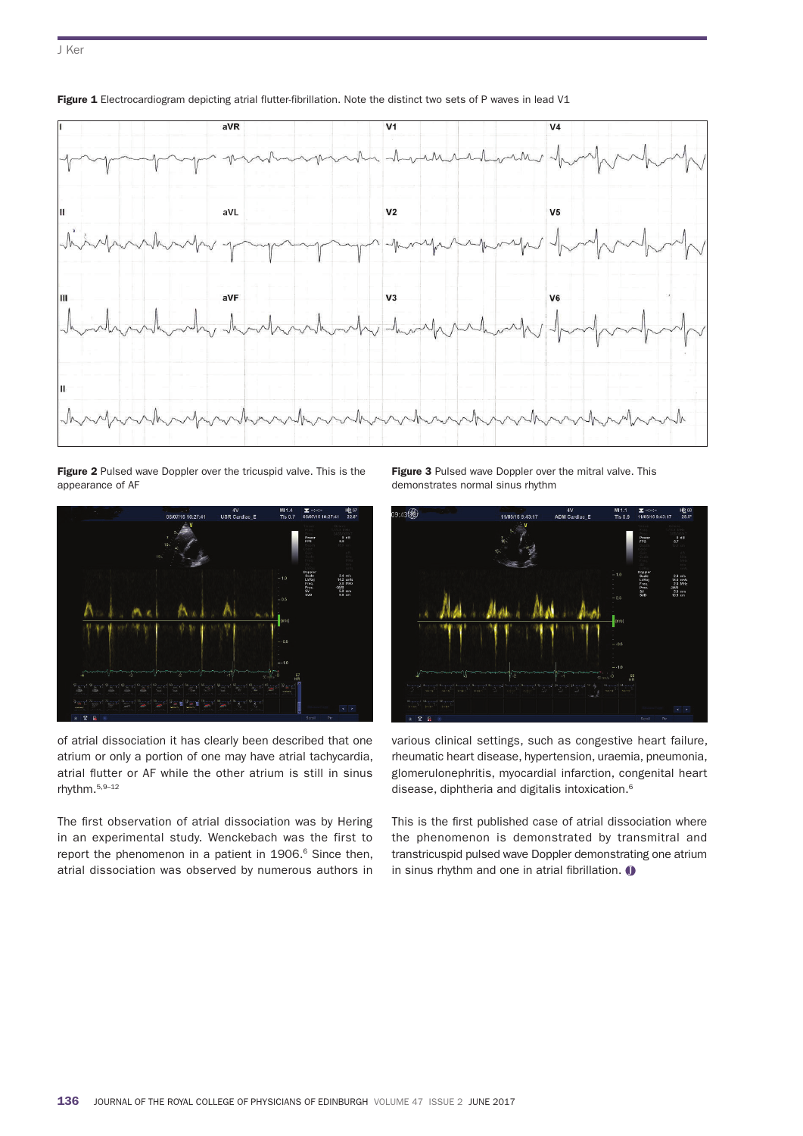

Figure 1 Electrocardiogram depicting atrial flutter-fibrillation. Note the distinct two sets of P waves in lead V1

Figure 2 Pulsed wave Doppler over the tricuspid valve. This is the appearance of af



of atrial dissociation it has clearly been described that one atrium or only a portion of one may have atrial tachycardia, atrial flutter or AF while the other atrium is still in sinus rhythm.5,9–12

The first observation of atrial dissociation was by Hering in an experimental study. Wenckebach was the first to report the phenomenon in a patient in 1906.<sup>6</sup> Since then, atrial dissociation was observed by numerous authors in Figure 3 Pulsed wave Doppler over the mitral valve. This demonstrates normal sinus rhythm



various clinical settings, such as congestive heart failure, rheumatic heart disease, hypertension, uraemia, pneumonia, glomerulonephritis, myocardial infarction, congenital heart disease, diphtheria and digitalis intoxication.6

This is the first published case of atrial dissociation where the phenomenon is demonstrated by transmitral and transtricuspid pulsed wave Doppler demonstrating one atrium in sinus rhythm and one in atrial fibrillation.  $\bullet$